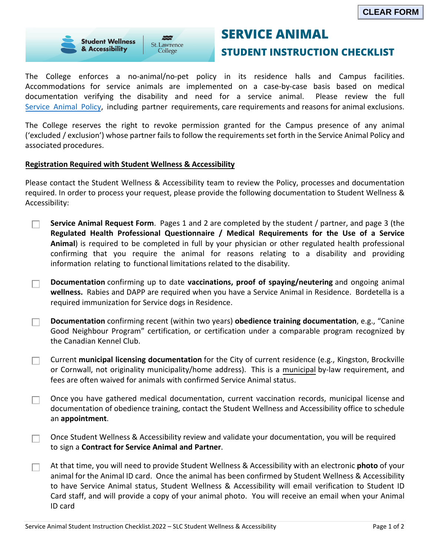

## **STUDENT INSTRUCTION CHECKLIST**

The College enforces a no-animal/no-pet policy in its residence halls and Campus facilities. Accommodations for service animals are implemented on a case-by-case basis based on medical documentation verifying the disability and need for a service animal. Please review the full [Service Animal Policy,](https://www.stlawrencecollege.ca/-/media/files/documents/campuses-and-services/services/counselling-accessibility/slc-service-animal-policy.pdf) including partner requirements, care requirements and reasons for animal exclusions.

College

The College reserves the right to revoke permission granted for the Campus presence of any animal ('excluded / exclusion') whose partner fails to follow the requirements set forth in the Service Animal Policy and associated procedures.

## **Registration Required with Student Wellness & Accessibility**

**Student Wellness** 

& Accessibility

Please contact the Student Wellness & Accessibility team to review the Policy, processes and documentation required. In order to process your request, please provide the following documentation to Student Wellness & Accessibility:

- **Service Animal Request Form**. Pages 1 and 2 are completed by the student / partner, and page 3 (the **Regulated Health Professional Questionnaire / Medical Requirements for the Use of a Service Animal**) is required to be completed in full by your physician or other regulated health professional confirming that you require the animal for reasons relating to a disability and providing information relating to functional limitations related to the disability.
- **Documentation** confirming up to date **vaccinations, proof of spaying/neutering** and ongoing animal П **wellness.** Rabies and DAPP are required when you have a Service Animal in Residence. Bordetella is a required immunization for Service dogs in Residence.
- **Documentation** confirming recent (within two years) **obedience training documentation**, e.g., "Canine П Good Neighbour Program" certification, or certification under a comparable program recognized by the Canadian Kennel Club.
- Current **municipal licensing documentation** for the City of current residence (e.g., Kingston, Brockville П or Cornwall, not originality municipality/home address). This is a municipal by-law requirement, and fees are often waived for animals with confirmed Service Animal status.
- Once you have gathered medical documentation, current vaccination records, municipal license and П documentation of obedience training, contact the Student Wellness and Accessibility office to schedule an **appointment**.
- Once Student Wellness & Accessibility review and validate your documentation, you will be required to sign a **Contract for Service Animal and Partner**.
- At that time, you will need to provide Student Wellness & Accessibility with an electronic **photo** of your  $\Box$ animal for the Animal ID card. Once the animal has been confirmed by Student Wellness & Accessibility to have Service Animal status, Student Wellness & Accessibility will email verification to Student ID Card staff, and will provide a copy of your animal photo. You will receive an email when your Animal ID card